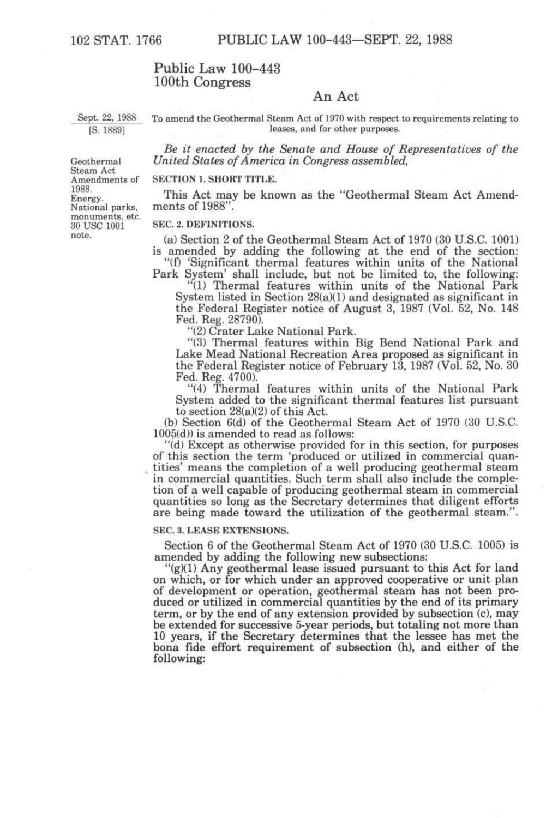# Public Law 100-443 100th Congress

# An Act

Sept. 22, 1988 [S. 1889]

To amend the Geothermal Steam Act of 1970 with respect to requirements relating to leases, and for other purposes.

*Be it enacted by the Senate and House of Representatives of the United States of America in Congress assembled,* 

Geothermal Steam Act Amendments of 1988. Energy. National parks, monuments, etc. 30 USC 1001 note.

#### SECTION 1. SHORT TITLE.

This Act may be known as the "Geothermal Steam Act Amendments of 1988"

## SEC. 2. DEFINITIONS.

(a) Section 2 of the Geothermal Steam Act of 1970 (30 U.S.C. 1001) is amended by adding the following at the end of the section:

"(f) 'Significant thermal features within units of the National Park System' shall include, but not be limited to, the following:

"(1) Thermal features within units of the National Park System listed in Section 28(a)(1) and designated as significant in the Federal Register notice of August 3, 1987 (Vol. 52, No. 148 Fed. Reg. 28790).

"(2) Crater Lake National Park.

"(3) Thermal features within Big Bend National Park and Lake Mead National Recreation Area proposed as significant in the Federal Register notice of February 13, 1987 (Vol. 52, No. 30 Fed. Reg. 4700).

"(4) Thermal features within units of the National Park System added to the significant thermal features list pursuant to section 28(a)(2) of this Act.

(b) Section 6(d) of the Geothermal Steam Act of 1970 (30 U.S.C. 1005(d)) is amended to read as follows:

"(d) Except as otherwise provided for in this section, for purposes of this section the term 'produced or utilized in commercial quantities' means the completion of a well producing geothermal steam in commercial quantities. Such term shall also include the completion of a well capable of producing geothermal steam in commercial quantities so long as the Secretary determines that diligent efforts are being made toward the utilization of the geothermal steam.".

#### SEC. 3. LEASE EXTENSIONS.

Section 6 of the Geothermal Steam Act of 1970 (30 U.S.C. 1005) is amended by adding the following new subsections:

"(g)(1) Any geothermal lease issued pursuant to this Act for land on which, or for which under an approved cooperative or unit plan of development or operation, geothermal steam has not been produced or utilized in commercial quantities by the end of its primary term, or by the end of any extension provided by subsection (c), may be extended for successive 5-year periods, but totaling not more than 10 years, if the Secretary determines that the lessee has met the bona fide effort requirement of subsection (h), and either of the following: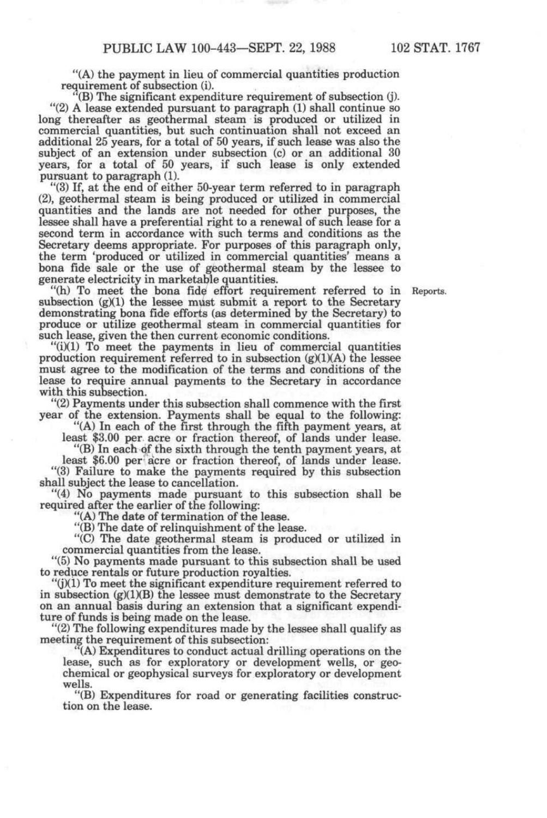"(A) the payment in lieu of commercial quantities production requirement of subsection (i).

 $\mathcal{F}(B)$  The significant expenditure requirement of subsection  $(j)$ . "(2) A lease extended pursuant to paragraph (1) shall continue so long thereafter as geothermal steam is produced or utilized in commercial quantities, but such continuation shall not exceed an additional 25 years, for a total of 50 years, if such lease was also the subject of an extension under subsection (c) or an additional 30 years, for a total of 50 years, if such lease is only extended pursuant to paragraph (1).

"(3) If, at the end of either 50-year term referred to in paragraph (2), geothermal steam is being produced or utilized in commercial quantities and the lands are not needed for other purposes, the lessee shall have a preferential right to a renewal of such lease for a second term in accordance with such terms and conditions as the Secretary deems appropriate. For purposes of this paragraph only, the term 'produced or utilized in commercial quantities' means a bona fide sale or the use of geothermal steam by the lessee to generate electricity in marketable quantities.

"(h) To meet the bona fid^ effort requirement referred to in Reports. subsection (g)(1) the lessee must submit a report to the Secretary demonstrating bona fide efforts (as determined by the Secretary) to produce or utilize geothermal steam in commercial quantities for such lease, given the then current economic conditions.

"(i)(l) To meet the payments in lieu of commercial quantities production requirement referred to in subsection  $(g)(1)(A)$  the lessee must agree to the modification of the terms and conditions of the lease to require annual payments to the Secretary in accordance with this subsection.

"(2) Payments under this subsection shall commence with the first year of the extension. Payments shall be equal to the following:

"(A) In each of the first through the fifth payment years, at least \$3.00 per acre or fraction thereof, of lands under lease.

"(B) In each of the sixth through the tenth payment years, at

least \$6.00 per acre or fraction thereof, of lands under lease. "(3) Failure to make the payments required by this subsection shall subject the lease to cancellation.

"(4) No payments made pursuant to this subsection shall be required after the earlier of the following:

"(A) The date of termination of the lease.

"(B) The date of relinquishment of the lease.

"(C) The date geothermal steam is produced or utilized in commercial quantities from the lease.

"(5) No payments made pursuant to this subsection shall be used to reduce rentals or future production royalties.

"(j)(l) To meet the significant expenditure requirement referred to in subsection (g)(1)(B) the lessee must demonstrate to the Secretary on an annual basis during an extension that a significant expenditure of funds is being made on the lease.

"(2) The following expenditures made by the lessee shall qualify as meeting the requirement of this subsection:

' (A) Expenditures to conduct actual drilling operations on the lease, such as for exploratory or development wells, or geochemical or geophysical surveys for exploratory or development wells.

"(B) Expenditures for road or generating facilities construction on the lease.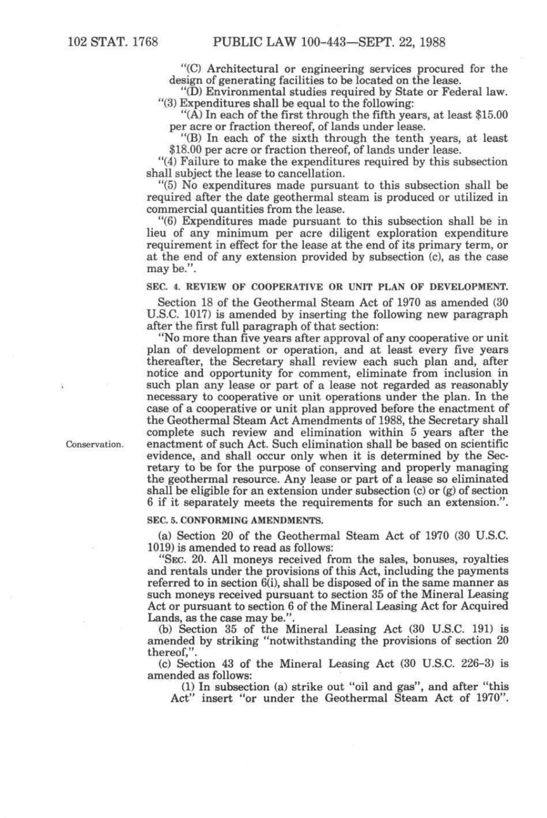"(C) Architectural or engineering services procured for the design of generating facilities to be located on the lease.

"(D) Environmental studies required by State or Federal law. "(3) Expenditures shall be equal to the following:

"(A) In each of the first through the fifth years, at least \$15.00 per acre or fraction thereof, of lands under lease.

"(B) In each of the sixth through the tenth years, at least \$18.00 per acre or fraction thereof, of lands under lease.

"(4) Failure to make the expenditures required by this subsection shall subject the lease to cancellation.

"(5) No expenditures made pursuant to this subsection shall be required after the date geothermal steam is produced or utilized in commercial quantities from the lease.

"(6) Expenditures made pursuant to this subsection shall be in lieu of any minimum per acre diligent exploration expenditure requirement in effect for the lease at the end of its primary term, or at the end of any extension provided by subsection (c), as the case may be.".

**SEC. 4. REVIEW OF COOPERATIVE OR UNIT PLAN OF DEVELOPMENT.** 

Section 18 of the Geothermal Steam Act of 1970 as amended (30 U.S.C. 1017) is amended by inserting the following new paragraph after the first full paragraph of that section:

"No more than five years after approval of any cooperative or unit plan of development or operation, and at least every five years thereafter, the Secretary shall review each such plan and, after notice and opportunity for comment, eliminate from inclusion in such plan any lease or part of a lease not regarded as reasonably necessary to cooperative or unit operations under the plan. In the case of a cooperative or unit plan approved before the enactment of the Geothermal Steam Act Amendments of 1988, the Secretary shall complete such review and elimination within 5 years after the enactment of such Act. Such elimination shall be based on scientific evidence, and shall occur only when it is determined by the Secretary to be for the purpose of conserving and properly managing the geothermal resource. Any lease or part of a lease so eliminated shall be eligible for an extension under subsection (c) or (g) of section 6 if it separately meets the requirements for such an extension.".

### **SEC. 5. CONFORMING AMENDMENTS.**

(a) Section 20 of the Geothermal Steam Act of 1970 (30 U.S.C. 1019) is amended to read as follows:

"SEC. 20. All moneys received from the sales, bonuses, royalties and rentals under the provisions of this Act, including the payments referred to in section 6(i), shall be disposed of in the same manner as such moneys received pursuant to section 35 of the Mineral Leasing Act or pursuant to section 6 of the Mineral Leasing Act for Acquired Lands, as the case may be.".

(b) Section 35 of the Mineral Leasing Act (30 U.S.C. 191) is amended by striking "notwithstanding the provisions of section 20 thereof,".

(c) Section 43 of the Mineral Leasing Act (30 U.S.C. 226-3) is amended as follows:

(1) In subsection (a) strike out "oil and gas", and after "this Act" insert "or under the Geothermal Steam Act of 1970".

**Conservation.**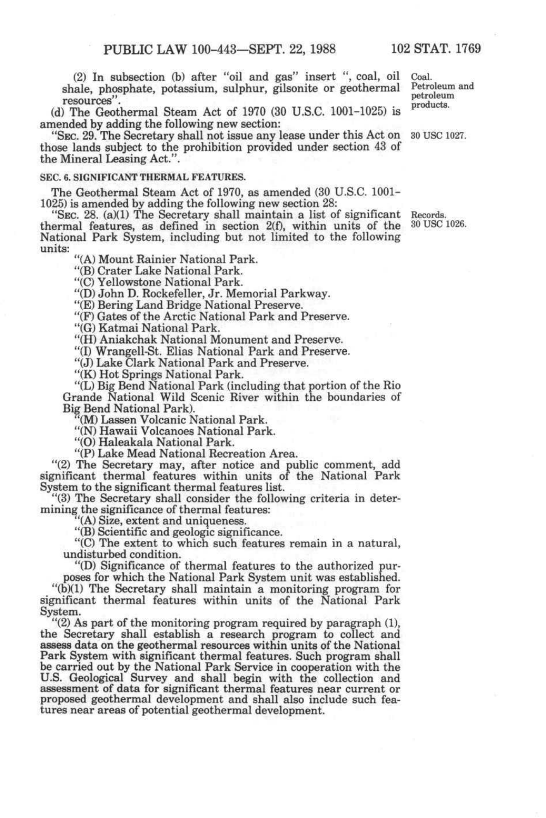(2) In subsection (b) after "oil and gas" insert ", coal, oil Coal, shale, phosphate, potassium, sulphur, gilsonite or geothermal Petroleum<br>resources''. resources". (2007) 100 and 100 and 100 models.

(d) The Geothermal Steam Act of 1970 (30 U.S.C. 1001-1025) is *^^°^'''^* amended by adding the following new section:

"SEC. 29. The Secretary shall not issue any lease under this Act on 30 USC 1027. those lands subject to the prohibition provided under section 43 of the Mineral Leasing Act.".

# **SEC. 6. SIGNIFICANT THERMAL FEATURES.**

The Geothermal Steam Act of 1970, as amended (30 U.S.C. 1001- 1025) is amended by adding the following new section 28:

"SEC. 28. (a)(1) The Secretary shall maintain a list of significant Records, thermal features, as defined in section 2(f), within units of the 30 USC 1026. National Park System, including but not limited to the following units:

"(A) Mount Rainier National Park.

"(B) Crater Lake National Park.

"(C) Yellowstone National Park.

"(D) John D. Rockefeller, Jr. Memorial Parkway.

"(E) Bering Land Bridge National Preserve.

"(F) Gates of the Arctic National Park and Preserve.

"(G) Katmai National Park.

"(H) Aniakchak National Monument and Preserve.

"(I) Wrangell-St. Elias National Park and Preserve.

"(J) Lake Clark National Park and Preserve.

"(K) Hot Springs National Park.

"(L) Big Bend National Park (including that portion of the Rio Grande National Wild Scenic River within the boundaries of Big Bend National Park).

(M) Lassen Volcanic National Park.

"(N) Hawaii Volcanoes National Park.

"(O) Haleakala National Park.

"(P) Lake Mead National Recreation Area.

"(2) The Secretary may, after notice and public comment, add significant thermal features within units of the National Park System to the significant thermal features list.

"(3) The Secretary shall consider the following criteria in determining the significance of thermal features:

"(A) Size, extent and uniqueness.

"(B) Scientific and geologic significance.

"(C) The extent to which such features remain in a natural, undisturbed condition.

"(D) Significance of thermal features to the authorized purposes for which the National Park System unit was established.

"(b)(1) The Secretary shall maintain a monitoring program for significant thermal features within units of the National Park System.

"(2) As part of the monitoring program required by paragraph (1), the Secretary shall establish a research program to collect and assess data on the geothermal resources within units of the National Park System with significant thermal features. Such program shall be carried out by the National Park Service in cooperation with the U.S. Geological Survey and shall begin with the collection and assessment of data for significant thermal features near current or proposed geothermal development and shall also include such features near areas of potential geothermal development.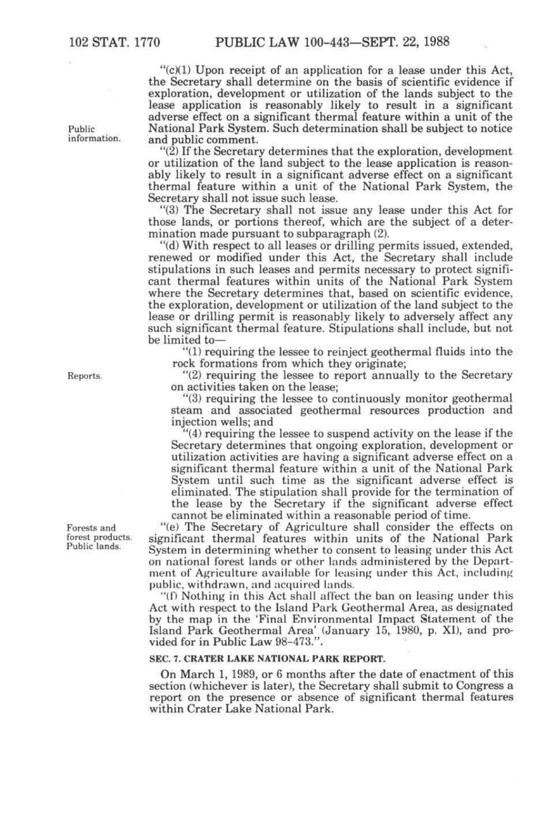"(c)(1) Upon receipt of an application for a lease under this Act, the Secretary shall determine on the basis of scientific evidence if exploration, development or utilization of the lands subject to the lease application is reasonably likely to result in a significant adverse effect on a significant thermal feature within a unit of the National Park System. Such determination shall be subject to notice and public comment.

"(2) If the Secretary determines that the exploration, development or utilization of the land subject to the lease application is reasonably likely to result in a significant adverse effect on a significant thermal feature within a unit of the National Park System, the Secretary shall not issue such lease.

"(3) The Secretary shall not issue any lease under this Act for those lands, or portions thereof, which are the subject of a determination made pursuant to subparagraph (2).

"(d) With respect to all leases or drilling permits issued, extended, renewed or modified under this Act, the Secretary shall include stipulations in such leases and permits necessary to protect significant thermal features within units of the National Park System where the Secretary determines that, based on scientific evidence, the exploration, development or utilization of the land subject to the lease or drilling permit is reasonably likely to adversely affect any such significant thermal feature. Stipulations shall include, but not be limited to—

"(1) requiring the lessee to reinject geothermal fluids into the rock formations from which they originate;

"(2) requiring the lessee to report annually to the Secretary on activities taken on the lease;

"(3) requiring the lessee to continuously monitor geothermal steam and associated geothermal resources production and injection wells; and

"(4) requiring the lessee to suspend activity on the lease if the Secretary determines that ongoing exploration, development or utilization activities are having a significant adverse effect on a significant thermal feature within a unit of the National Park System until such time as the significant adverse effect is eliminated. The stipulation shall provide for the termination of the lease by the Secretary if the significant adverse effect cannot be eliminated within a reasonable period of time.

"(e) The Secretary of Agriculture shall consider the effects on significant thermal features within units of the National Park System in determining whether to consent to leasing under this Act on national forest lands or other lands administered by the Department of Agriculture available for leasing under this Act, including public, withdrawn, and acquired lands.

"(f) Nothing in this Act shall affect the ban on leasing under this Act with respect to the Island Park Geothermal Area, as designated by the map in the 'Final Environmental Impact Statement of the Island Park Geothermal Area' (January 15, 1980, p. XI), and provided for in Public Law 98-473.".

## SEC. 7. CRATER LAKE NATIONAL PARK REPORT.

On March 1, 1989, or 6 months after the date of enactment of this section (whichever is later), the Secretary shall submit to Congress a report on the presence or absence of significant thermal features within Crater Lake National Park.

Public information.

Reports.

Forests and forest products. Public lands.